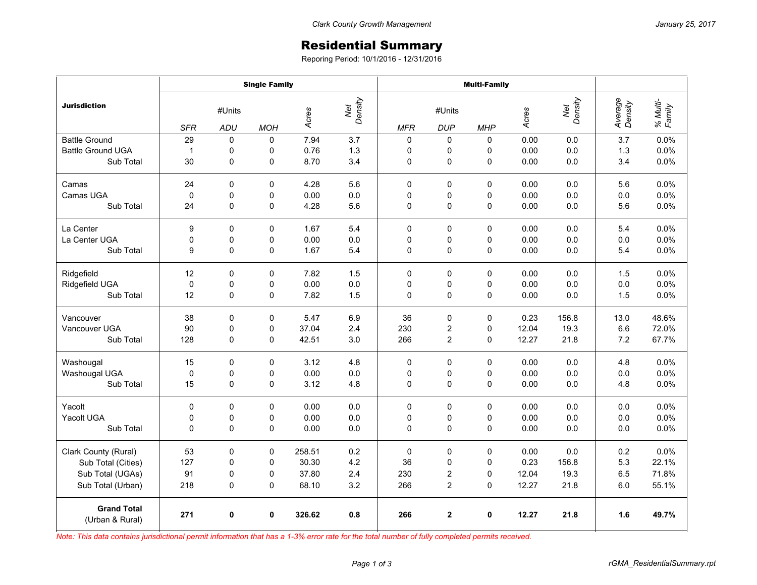## Residential Summary

Reporing Period: 10/1/2016 - 12/31/2016

|                                       | <b>Single Family</b> |             |                |                         |     | <b>Multi-Family</b> |                         |             |       |                |                    |                    |
|---------------------------------------|----------------------|-------------|----------------|-------------------------|-----|---------------------|-------------------------|-------------|-------|----------------|--------------------|--------------------|
| <b>Jurisdiction</b>                   | #Units               |             |                | Net<br>Density<br>Acres |     | #Units              |                         |             | Acres | Net<br>Density | Average<br>Density | % Multi-<br>Family |
|                                       | <b>SFR</b>           | ADU         | <b>MOH</b>     |                         |     | <b>MFR</b>          | <b>DUP</b>              | <b>MHP</b>  |       |                |                    |                    |
| <b>Battle Ground</b>                  | 29                   | $\Omega$    | $\Omega$       | 7.94                    | 3.7 | 0                   | 0                       | 0           | 0.00  | 0.0            | 3.7                | 0.0%               |
| <b>Battle Ground UGA</b>              | $\mathbf{1}$         | 0           | 0              | 0.76                    | 1.3 | 0                   | 0                       | 0           | 0.00  | 0.0            | 1.3                | 0.0%               |
| Sub Total                             | 30                   | 0           | $\overline{0}$ | 8.70                    | 3.4 | 0                   | 0                       | $\mathbf 0$ | 0.00  | 0.0            | 3.4                | 0.0%               |
| Camas                                 | 24                   | 0           | 0              | 4.28                    | 5.6 | 0                   | 0                       | 0           | 0.00  | 0.0            | 5.6                | 0.0%               |
| Camas UGA                             | 0                    | 0           | 0              | 0.00                    | 0.0 | 0                   | 0                       | 0           | 0.00  | 0.0            | 0.0                | 0.0%               |
| Sub Total                             | 24                   | 0           | 0              | 4.28                    | 5.6 | 0                   | $\mathbf 0$             | 0           | 0.00  | 0.0            | 5.6                | 0.0%               |
| La Center                             | 9                    | 0           | $\mathbf 0$    | 1.67                    | 5.4 | 0                   | $\mathbf 0$             | 0           | 0.00  | 0.0            | 5.4                | 0.0%               |
| La Center UGA                         | 0                    | 0           | 0              | 0.00                    | 0.0 | 0                   | 0                       | 0           | 0.00  | 0.0            | 0.0                | 0.0%               |
| Sub Total                             | 9                    | 0           | $\overline{0}$ | 1.67                    | 5.4 | 0                   | $\mathbf 0$             | 0           | 0.00  | 0.0            | 5.4                | 0.0%               |
| Ridgefield                            | 12                   | 0           | 0              | 7.82                    | 1.5 | 0                   | 0                       | 0           | 0.00  | 0.0            | 1.5                | 0.0%               |
| Ridgefield UGA                        | $\mathbf 0$          | 0           | 0              | 0.00                    | 0.0 | $\mathbf 0$         | 0                       | 0           | 0.00  | 0.0            | 0.0                | 0.0%               |
| Sub Total                             | 12                   | 0           | 0              | 7.82                    | 1.5 | 0                   | 0                       | 0           | 0.00  | 0.0            | 1.5                | 0.0%               |
| Vancouver                             | 38                   | 0           | $\mathbf 0$    | 5.47                    | 6.9 | 36                  | $\mathbf 0$             | 0           | 0.23  | 156.8          | 13.0               | 48.6%              |
| Vancouver UGA                         | 90                   | 0           | 0              | 37.04                   | 2.4 | 230                 | 2                       | 0           | 12.04 | 19.3           | 6.6                | 72.0%              |
| Sub Total                             | 128                  | 0           | 0              | 42.51                   | 3.0 | 266                 | $\overline{c}$          | $\Omega$    | 12.27 | 21.8           | 7.2                | 67.7%              |
| Washougal                             | 15                   | 0           | 0              | 3.12                    | 4.8 | 0                   | 0                       | 0           | 0.00  | 0.0            | 4.8                | 0.0%               |
| Washougal UGA                         | $\mathbf 0$          | $\mathbf 0$ | 0              | 0.00                    | 0.0 | 0                   | 0                       | 0           | 0.00  | 0.0            | 0.0                | 0.0%               |
| Sub Total                             | 15                   | 0           | 0              | 3.12                    | 4.8 | 0                   | 0                       | 0           | 0.00  | 0.0            | 4.8                | 0.0%               |
| Yacolt                                | 0                    | 0           | $\Omega$       | 0.00                    | 0.0 | 0                   | 0                       | $\Omega$    | 0.00  | 0.0            | 0.0                | 0.0%               |
| Yacolt UGA                            | 0                    | 0           | 0              | 0.00                    | 0.0 | 0                   | 0                       | 0           | 0.00  | 0.0            | 0.0                | 0.0%               |
| Sub Total                             | 0                    | 0           | 0              | 0.00                    | 0.0 | $\mathbf 0$         | $\mathbf 0$             | 0           | 0.00  | 0.0            | 0.0                | 0.0%               |
| Clark County (Rural)                  | 53                   | 0           | 0              | 258.51                  | 0.2 | 0                   | $\pmb{0}$               | 0           | 0.00  | 0.0            | 0.2                | 0.0%               |
| Sub Total (Cities)                    | 127                  | 0           | 0              | 30.30                   | 4.2 | 36                  | 0                       | 0           | 0.23  | 156.8          | 5.3                | 22.1%              |
| Sub Total (UGAs)                      | 91                   | 0           | 0              | 37.80                   | 2.4 | 230                 | 2                       | 0           | 12.04 | 19.3           | 6.5                | 71.8%              |
| Sub Total (Urban)                     | 218                  | 0           | 0              | 68.10                   | 3.2 | 266                 | $\overline{\mathbf{c}}$ | 0           | 12.27 | 21.8           | $6.0\,$            | 55.1%              |
| <b>Grand Total</b><br>(Urban & Rural) | 271                  | 0           | 0              | 326.62                  | 0.8 | 266                 | $\overline{2}$          | 0           | 12.27 | 21.8           | 1.6                | 49.7%              |

*Note: This data contains jurisdictional permit information that has a 1-3% error rate for the total number of fully completed permits received.*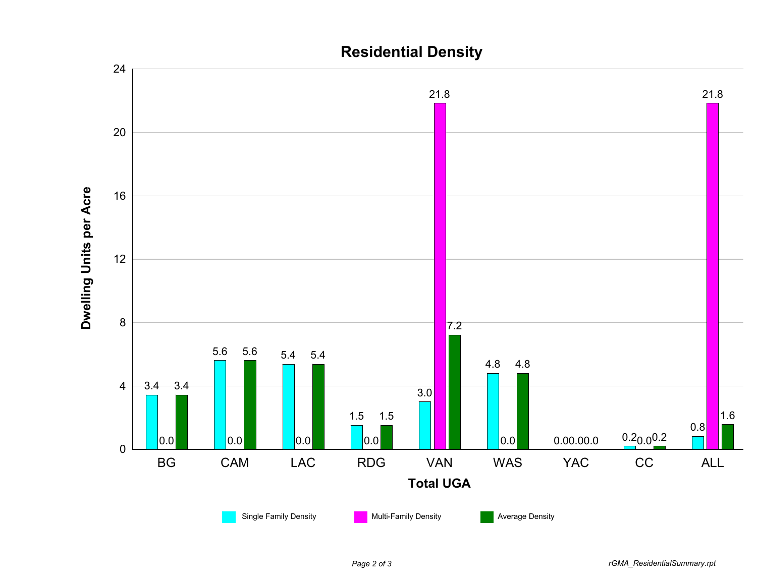

## **Residential Density**